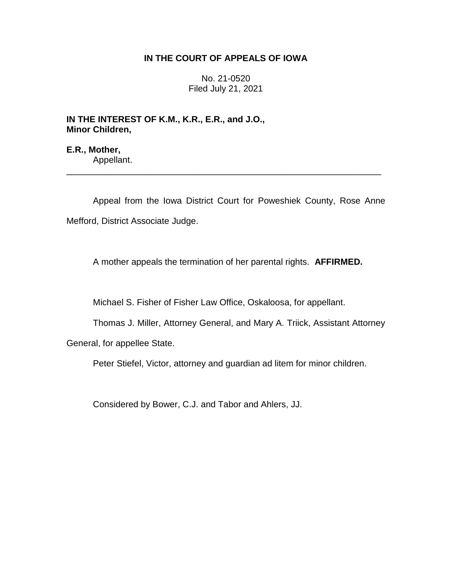## **IN THE COURT OF APPEALS OF IOWA**

No. 21-0520 Filed July 21, 2021

**IN THE INTEREST OF K.M., K.R., E.R., and J.O., Minor Children,**

**E.R., Mother,** Appellant.

Appeal from the Iowa District Court for Poweshiek County, Rose Anne Mefford, District Associate Judge.

\_\_\_\_\_\_\_\_\_\_\_\_\_\_\_\_\_\_\_\_\_\_\_\_\_\_\_\_\_\_\_\_\_\_\_\_\_\_\_\_\_\_\_\_\_\_\_\_\_\_\_\_\_\_\_\_\_\_\_\_\_\_\_\_

A mother appeals the termination of her parental rights. **AFFIRMED.**

Michael S. Fisher of Fisher Law Office, Oskaloosa, for appellant.

Thomas J. Miller, Attorney General, and Mary A. Triick, Assistant Attorney

General, for appellee State.

Peter Stiefel, Victor, attorney and guardian ad litem for minor children.

Considered by Bower, C.J. and Tabor and Ahlers, JJ.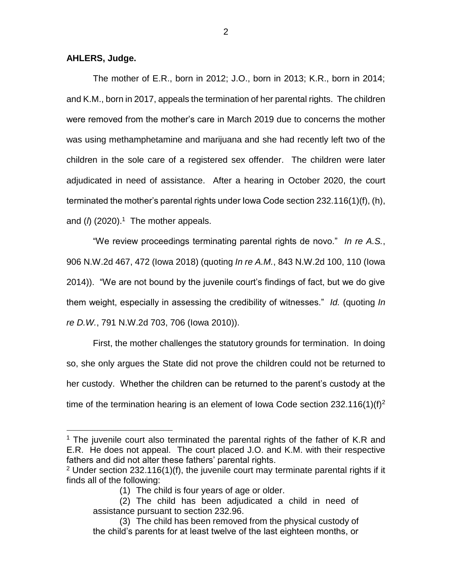**AHLERS, Judge.**

 $\overline{a}$ 

The mother of E.R., born in 2012; J.O., born in 2013; K.R., born in 2014; and K.M., born in 2017, appeals the termination of her parental rights. The children were removed from the mother's care in March 2019 due to concerns the mother was using methamphetamine and marijuana and she had recently left two of the children in the sole care of a registered sex offender. The children were later adjudicated in need of assistance. After a hearing in October 2020, the court terminated the mother's parental rights under Iowa Code section 232.116(1)(f), (h), and (*l*) (2020). 1 The mother appeals.

"We review proceedings terminating parental rights de novo." *In re A.S.*, 906 N.W.2d 467, 472 (Iowa 2018) (quoting *In re A.M.*, 843 N.W.2d 100, 110 (Iowa 2014)). "We are not bound by the juvenile court's findings of fact, but we do give them weight, especially in assessing the credibility of witnesses." *Id.* (quoting *In re D.W.*, 791 N.W.2d 703, 706 (Iowa 2010)).

First, the mother challenges the statutory grounds for termination. In doing so, she only argues the State did not prove the children could not be returned to her custody. Whether the children can be returned to the parent's custody at the time of the termination hearing is an element of Iowa Code section 232.116(1)(f)<sup>2</sup>

<sup>&</sup>lt;sup>1</sup> The juvenile court also terminated the parental rights of the father of K.R and E.R. He does not appeal. The court placed J.O. and K.M. with their respective fathers and did not alter these fathers' parental rights.

<sup>&</sup>lt;sup>2</sup> Under section 232.116(1)(f), the juvenile court may terminate parental rights if it finds all of the following:

<sup>(1)</sup> The child is four years of age or older.

<sup>(2)</sup> The child has been adjudicated a child in need of assistance pursuant to section 232.96.

<sup>(3)</sup> The child has been removed from the physical custody of the child's parents for at least twelve of the last eighteen months, or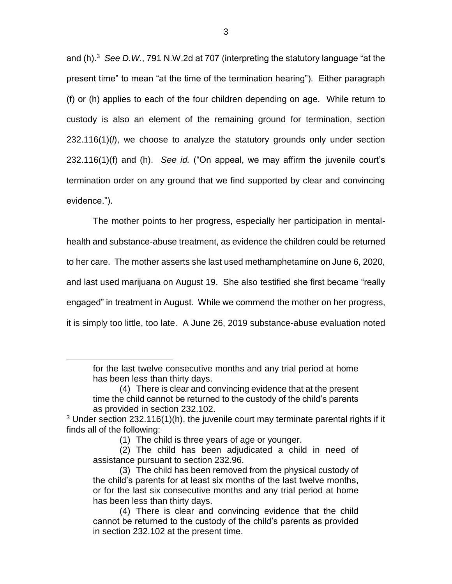and (h). 3 *See D.W.*, 791 N.W.2d at 707 (interpreting the statutory language "at the present time" to mean "at the time of the termination hearing"). Either paragraph (f) or (h) applies to each of the four children depending on age. While return to custody is also an element of the remaining ground for termination, section 232.116(1)(*l*), we choose to analyze the statutory grounds only under section 232.116(1)(f) and (h). *See id.* ("On appeal, we may affirm the juvenile court's termination order on any ground that we find supported by clear and convincing evidence.").

The mother points to her progress, especially her participation in mentalhealth and substance-abuse treatment, as evidence the children could be returned to her care. The mother asserts she last used methamphetamine on June 6, 2020, and last used marijuana on August 19. She also testified she first became "really engaged" in treatment in August. While we commend the mother on her progress, it is simply too little, too late. A June 26, 2019 substance-abuse evaluation noted

 $\overline{a}$ 

for the last twelve consecutive months and any trial period at home has been less than thirty days.

<sup>(4)</sup> There is clear and convincing evidence that at the present time the child cannot be returned to the custody of the child's parents as provided in section 232.102.

 $3$  Under section 232.116(1)(h), the juvenile court may terminate parental rights if it finds all of the following:

<sup>(1)</sup> The child is three years of age or younger.

<sup>(2)</sup> The child has been adjudicated a child in need of assistance pursuant to section 232.96.

<sup>(3)</sup> The child has been removed from the physical custody of the child's parents for at least six months of the last twelve months, or for the last six consecutive months and any trial period at home has been less than thirty days.

<sup>(4)</sup> There is clear and convincing evidence that the child cannot be returned to the custody of the child's parents as provided in section 232.102 at the present time.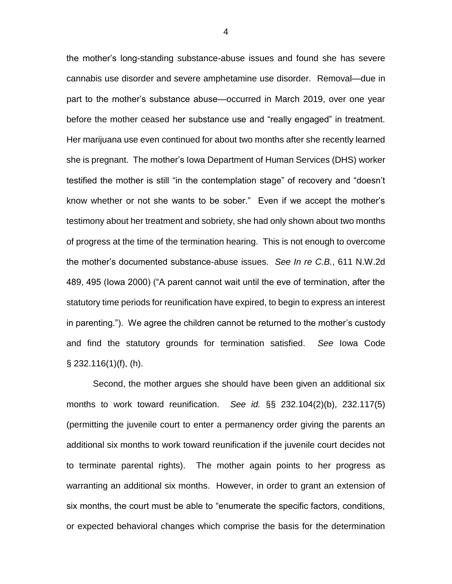the mother's long-standing substance-abuse issues and found she has severe cannabis use disorder and severe amphetamine use disorder. Removal—due in part to the mother's substance abuse—occurred in March 2019, over one year before the mother ceased her substance use and "really engaged" in treatment. Her marijuana use even continued for about two months after she recently learned she is pregnant. The mother's Iowa Department of Human Services (DHS) worker testified the mother is still "in the contemplation stage" of recovery and "doesn't know whether or not she wants to be sober." Even if we accept the mother's testimony about her treatment and sobriety, she had only shown about two months of progress at the time of the termination hearing. This is not enough to overcome the mother's documented substance-abuse issues. *See In re C.B.*, 611 N.W.2d 489, 495 (Iowa 2000) ("A parent cannot wait until the eve of termination, after the statutory time periods for reunification have expired, to begin to express an interest in parenting."). We agree the children cannot be returned to the mother's custody and find the statutory grounds for termination satisfied. *See* Iowa Code § 232.116(1)(f), (h).

Second, the mother argues she should have been given an additional six months to work toward reunification. *See id.* §§ 232.104(2)(b), 232.117(5) (permitting the juvenile court to enter a permanency order giving the parents an additional six months to work toward reunification if the juvenile court decides not to terminate parental rights). The mother again points to her progress as warranting an additional six months. However, in order to grant an extension of six months, the court must be able to "enumerate the specific factors, conditions, or expected behavioral changes which comprise the basis for the determination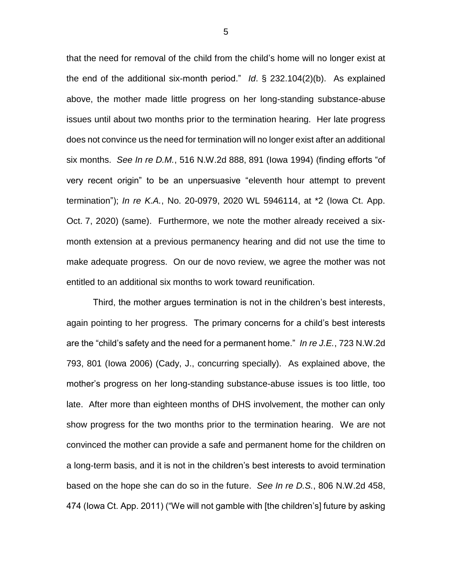that the need for removal of the child from the child's home will no longer exist at the end of the additional six-month period." *Id*. § 232.104(2)(b). As explained above, the mother made little progress on her long-standing substance-abuse issues until about two months prior to the termination hearing. Her late progress does not convince us the need for termination will no longer exist after an additional six months. *See In re D.M.*, 516 N.W.2d 888, 891 (Iowa 1994) (finding efforts "of very recent origin" to be an unpersuasive "eleventh hour attempt to prevent termination"); *In re K.A.*, No. 20-0979, 2020 WL 5946114, at \*2 (Iowa Ct. App. Oct. 7, 2020) (same). Furthermore, we note the mother already received a sixmonth extension at a previous permanency hearing and did not use the time to make adequate progress. On our de novo review, we agree the mother was not entitled to an additional six months to work toward reunification.

Third, the mother argues termination is not in the children's best interests, again pointing to her progress. The primary concerns for a child's best interests are the "child's safety and the need for a permanent home." *In re J.E.*, 723 N.W.2d 793, 801 (Iowa 2006) (Cady, J., concurring specially). As explained above, the mother's progress on her long-standing substance-abuse issues is too little, too late. After more than eighteen months of DHS involvement, the mother can only show progress for the two months prior to the termination hearing. We are not convinced the mother can provide a safe and permanent home for the children on a long-term basis, and it is not in the children's best interests to avoid termination based on the hope she can do so in the future. *See In re D.S.*, 806 N.W.2d 458, 474 (Iowa Ct. App. 2011) ("We will not gamble with [the children's] future by asking

5